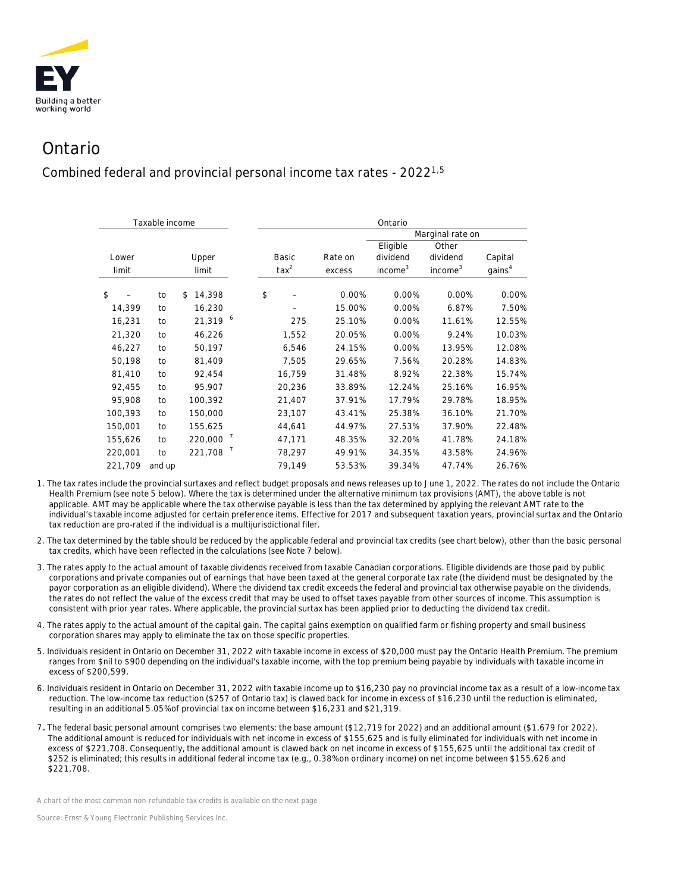

## Ontario

Combined federal and provincial personal income tax rates - 20221,5

|         | Taxable income |              |    | Ontario        |         |                     |                     |                    |  |  |  |
|---------|----------------|--------------|----|----------------|---------|---------------------|---------------------|--------------------|--|--|--|
|         |                |              |    |                |         | Marginal rate on    |                     |                    |  |  |  |
|         |                |              |    |                |         | Eligible            | Other               |                    |  |  |  |
| Lower   |                | Upper        |    | Basic          | Rate on | dividend            | dividend            | Capital            |  |  |  |
| limit   |                | limit        |    | $\text{tax}^2$ | excess  | income <sup>3</sup> | income <sup>3</sup> | gains <sup>4</sup> |  |  |  |
|         |                |              |    |                |         |                     |                     |                    |  |  |  |
| \$      | to             | 14,398<br>\$ | \$ |                | 0.00%   | 0.00%               | 0.00%               | 0.00%              |  |  |  |
| 14,399  | to             | 16,230       |    |                | 15.00%  | 0.00%               | 6.87%               | 7.50%              |  |  |  |
| 16,231  | to             | 21,319 6     |    | 275            | 25.10%  | 0.00%               | 11.61%              | 12.55%             |  |  |  |
| 21,320  | to             | 46,226       |    | 1,552          | 20.05%  | 0.00%               | 9.24%               | 10.03%             |  |  |  |
| 46,227  | to             | 50,197       |    | 6,546          | 24.15%  | 0.00%               | 13.95%              | 12.08%             |  |  |  |
| 50,198  | to             | 81,409       |    | 7,505          | 29.65%  | 7.56%               | 20.28%              | 14.83%             |  |  |  |
| 81,410  | to             | 92,454       |    | 16,759         | 31.48%  | 8.92%               | 22.38%              | 15.74%             |  |  |  |
| 92,455  | to             | 95,907       |    | 20,236         | 33.89%  | 12.24%              | 25.16%              | 16.95%             |  |  |  |
| 95,908  | to             | 100,392      |    | 21,407         | 37.91%  | 17.79%              | 29.78%              | 18.95%             |  |  |  |
| 100,393 | to             | 150,000      |    | 23,107         | 43.41%  | 25.38%              | 36.10%              | 21.70%             |  |  |  |
| 150,001 | to             | 155,625      |    | 44,641         | 44.97%  | 27.53%              | 37.90%              | 22.48%             |  |  |  |
| 155,626 | to             | 220,000 7    |    | 47,171         | 48.35%  | 32.20%              | 41.78%              | 24.18%             |  |  |  |
| 220,001 | to             | 221,708 7    |    | 78,297         | 49.91%  | 34.35%              | 43.58%              | 24.96%             |  |  |  |
| 221,709 | and up         |              |    | 79,149         | 53.53%  | 39.34%              | 47.74%              | 26.76%             |  |  |  |

1. The tax rates include the provincial surtaxes and reflect budget proposals and news releases up to June 1, 2022. The rates do not include the Ontario Health Premium (see note 5 below). Where the tax is determined under the alternative minimum tax provisions (AMT), the above table is not applicable. AMT may be applicable where the tax otherwise payable is less than the tax determined by applying the relevant AMT rate to the individual's taxable income adjusted for certain preference items. Effective for 2017 and subsequent taxation years, provincial surtax and the Ontario tax reduction are pro-rated if the individual is a multijurisdictional filer.

- 2. The tax determined by the table should be reduced by the applicable federal and provincial tax credits (see chart below), other than the basic personal tax credits, which have been reflected in the calculations (see Note 7 below).
- 3. The rates apply to the actual amount of taxable dividends received from taxable Canadian corporations. Eligible dividends are those paid by public corporations and private companies out of earnings that have been taxed at the general corporate tax rate (the dividend must be designated by the payor corporation as an eligible dividend). Where the dividend tax credit exceeds the federal and provincial tax otherwise payable on the dividends, the rates do not reflect the value of the excess credit that may be used to offset taxes payable from other sources of income. This assumption is consistent with prior year rates. Where applicable, the provincial surtax has been applied prior to deducting the dividend tax credit.
- 4. The rates apply to the actual amount of the capital gain. The capital gains exemption on qualified farm or fishing property and small business corporation shares may apply to eliminate the tax on those specific properties.
- 5. Individuals resident in Ontario on December 31, 2022 with taxable income in excess of \$20,000 must pay the Ontario Health Premium. The premium ranges from \$nil to \$900 depending on the individual's taxable income, with the top premium being payable by individuals with taxable income in excess of \$200,599.
- 6. Individuals resident in Ontario on December 31, 2022 with taxable income up to \$16,230 pay no provincial income tax as a result of a low-income tax reduction. The low-income tax reduction (\$257 of Ontario tax) is clawed back for income in excess of \$16,230 until the reduction is eliminated, resulting in an additional 5.05% of provincial tax on income between \$16,231 and \$21,319.
- 7. The federal basic personal amount comprises two elements: the base amount (\$12,719 for 2022) and an additional amount (\$1,679 for 2022). The additional amount is reduced for individuals with net income in excess of \$155,625 and is fully eliminated for individuals with net income in excess of \$221,708. Consequently, the additional amount is clawed back on net income in excess of \$155,625 until the additional tax credit of \$252 is eliminated; this results in additional federal income tax (e.g., 0.38% on ordinary income) on net income between \$155,626 and \$221,708.

*A chart of the most common non-refundable tax credits is available on the next page*

*Source: Ernst & Young Electronic Publishing Services Inc.*